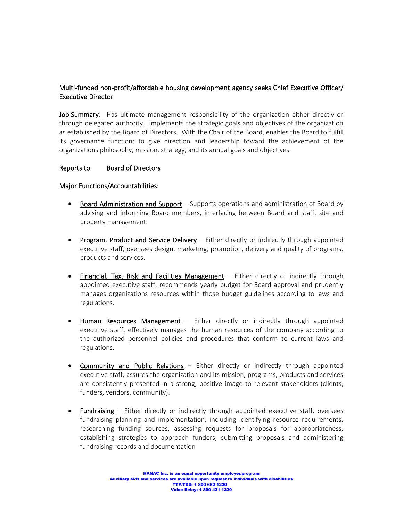# Multi-funded non-profit/affordable housing development agency seeks Chief Executive Officer/ Executive Director

**Job Summary**: Has ultimate management responsibility of the organization either directly or through delegated authority. Implements the strategic goals and objectives of the organization as established by the Board of Directors. With the Chair of the Board, enables the Board to fulfill its governance function; to give direction and leadership toward the achievement of the organizations philosophy, mission, strategy, and its annual goals and objectives.

## Reports to: Board of Directors

## Major Functions/Accountabilities:

- Board Administration and Support Supports operations and administration of Board by advising and informing Board members, interfacing between Board and staff, site and property management.
- Program, Product and Service Delivery Either directly or indirectly through appointed executive staff, oversees design, marketing, promotion, delivery and quality of programs, products and services.
- Financial, Tax, Risk and Facilities Management  $-$  Either directly or indirectly through appointed executive staff, recommends yearly budget for Board approval and prudently manages organizations resources within those budget guidelines according to laws and regulations.
- Human Resources Management Either directly or indirectly through appointed executive staff, effectively manages the human resources of the company according to the authorized personnel policies and procedures that conform to current laws and regulations.
- Community and Public Relations Either directly or indirectly through appointed executive staff, assures the organization and its mission, programs, products and services are consistently presented in a strong, positive image to relevant stakeholders (clients, funders, vendors, community).
- Fundraising Either directly or indirectly through appointed executive staff, oversees fundraising planning and implementation, including identifying resource requirements, researching funding sources, assessing requests for proposals for appropriateness, establishing strategies to approach funders, submitting proposals and administering fundraising records and documentation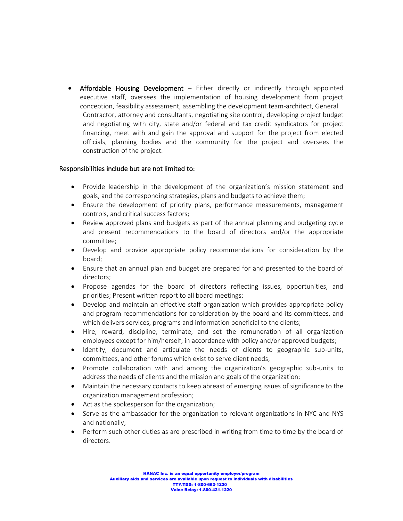Affordable Housing Development – Either directly or indirectly through appointed executive staff, oversees the implementation of housing development from project conception, feasibility assessment, assembling the development team-architect, General Contractor, attorney and consultants, negotiating site control, developing project budget and negotiating with city, state and/or federal and tax credit syndicators for project financing, meet with and gain the approval and support for the project from elected officials, planning bodies and the community for the project and oversees the construction of the project.

## Responsibilities include but are not limited to:

- Provide leadership in the development of the organization's mission statement and goals, and the corresponding strategies, plans and budgets to achieve them;
- Ensure the development of priority plans, performance measurements, management controls, and critical success factors;
- Review approved plans and budgets as part of the annual planning and budgeting cycle and present recommendations to the board of directors and/or the appropriate committee;
- Develop and provide appropriate policy recommendations for consideration by the board;
- Ensure that an annual plan and budget are prepared for and presented to the board of directors;
- Propose agendas for the board of directors reflecting issues, opportunities, and priorities; Present written report to all board meetings;
- Develop and maintain an effective staff organization which provides appropriate policy and program recommendations for consideration by the board and its committees, and which delivers services, programs and information beneficial to the clients;
- Hire, reward, discipline, terminate, and set the remuneration of all organization employees except for him/herself, in accordance with policy and/or approved budgets;
- Identify, document and articulate the needs of clients to geographic sub-units, committees, and other forums which exist to serve client needs;
- Promote collaboration with and among the organization's geographic sub-units to address the needs of clients and the mission and goals of the organization;
- Maintain the necessary contacts to keep abreast of emerging issues of significance to the organization management profession;
- Act as the spokesperson for the organization;
- Serve as the ambassador for the organization to relevant organizations in NYC and NYS and nationally;
- Perform such other duties as are prescribed in writing from time to time by the board of directors.

HANAC Inc. is an equal opportunity employer/program Auxiliary aids and services are available upon request to individuals with disabilities TTY/TDD: 1-800-662-1220 Voice Relay: 1-800-421-1220